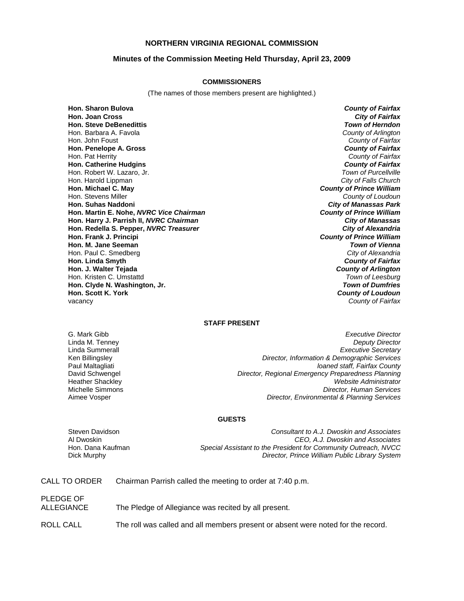## **NORTHERN VIRGINIA REGIONAL COMMISSION**

#### **Minutes of the Commission Meeting Held Thursday, April 23, 2009**

#### **COMMISSIONERS**

(The names of those members present are highlighted.)

**Hon. Sharon Bulova** *County of Fairfax* **Hon. Joan Cross** *City of Fairfax* **Hon. Steve DeBenedittis** Hon. Barbara A. Favola *County of Arlington* Hon. John Foust *County of Fairfax* **Hon. Penelope A. Gross** *County of Fairfax* Hon. Pat Herrity *County of Fairfax* **Hon. Catherine Hudgins** *County of Fairfax* Hon. Robert W. Lazaro, Jr. *Town of Purcellville* Hon. Harold Lippman *City of Falls Church* **Hon. Michael C. May** *County of Prince William* Hon. Stevens Miller *County of Loudoun* **Hon. Suhas Naddoni** *City of Manassas Park* **Hon. Martin E. Nohe,** *NVRC Vice Chairman County of Prince William* **Hon. Harry J. Parrish II,** *NVRC Chairman City of Manassas* **Hon. Redella S. Pepper,** *NVRC Treasurer City of Alexandria* **Hon. Frank J. Principi** *County of Prince William* **Hon. M. Jane Seeman** *Town of Vienna* Hon. Paul C. Smedberg *City of Alexandria* **Hon. Linda Smyth** *County of Fairfax* **Hon. J. Walter Tejada** *County of Arlington* Hon. Kristen C. Umstattd *Town of Leesburg* **Hon. Clyde N. Washington, Jr.** *Pools* Constants How. Scott K. York

**County of Loudoun** vacancy *County of Fairfax*

#### **STAFF PRESENT**

G. Mark Gibb *Executive Director* Linda M. Tenney *Deputy Director* Linda Summerall *Executive Secretary* Ken Billingsley *Director, Information & Demographic Services* Paul Maltagliati *loaned staff, Fairfax County* David Schwengel *Director, Regional Emergency Preparedness Planning* Heather Shackley *Website Administrator* **Director, Human Services** Aimee Vosper *Director, Environmental & Planning Services*

#### **GUESTS**

Steven Davidson *Consultant to A.J. Dwoskin and Associates* Al Dwoskin *CEO, A.J. Dwoskin and Associates* Special Assistant to the President for Community Outreach, NVCC Dick Murphy *Director, Prince William Public Library System*

| <b>CALL TO ORDER</b> | Chairman Parrish called the meeting to order at 7:40 p.m. |
|----------------------|-----------------------------------------------------------|
|----------------------|-----------------------------------------------------------|

PLEDGE OF ALLEGIANCE The Pledge of Allegiance was recited by all present. ROLL CALL The roll was called and all members present or absent were noted for the record.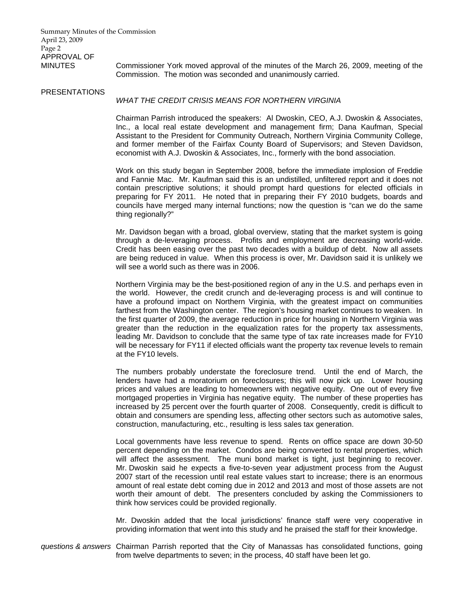Summary Minutes of the Commission April 23, 2009 Page 2 APPROVAL OF

MINUTES Commissioner York moved approval of the minutes of the March 26, 2009, meeting of the Commission. The motion was seconded and unanimously carried.

#### PRESENTATIONS

## *WHAT THE CREDIT CRISIS MEANS FOR NORTHERN VIRGINIA*

Chairman Parrish introduced the speakers: Al Dwoskin, CEO, A.J. Dwoskin & Associates, Inc., a local real estate development and management firm; Dana Kaufman, Special Assistant to the President for Community Outreach, Northern Virginia Community College, and former member of the Fairfax County Board of Supervisors; and Steven Davidson, economist with A.J. Dwoskin & Associates, Inc., formerly with the bond association.

Work on this study began in September 2008, before the immediate implosion of Freddie and Fannie Mac. Mr. Kaufman said this is an undistilled, unfiltered report and it does not contain prescriptive solutions; it should prompt hard questions for elected officials in preparing for FY 2011. He noted that in preparing their FY 2010 budgets, boards and councils have merged many internal functions; now the question is "can we do the same thing regionally?"

Mr. Davidson began with a broad, global overview, stating that the market system is going through a de-leveraging process. Profits and employment are decreasing world-wide. Credit has been easing over the past two decades with a buildup of debt. Now all assets are being reduced in value. When this process is over, Mr. Davidson said it is unlikely we will see a world such as there was in 2006.

Northern Virginia may be the best-positioned region of any in the U.S. and perhaps even in the world. However, the credit crunch and de-leveraging process is and will continue to have a profound impact on Northern Virginia, with the greatest impact on communities farthest from the Washington center. The region's housing market continues to weaken. In the first quarter of 2009, the average reduction in price for housing in Northern Virginia was greater than the reduction in the equalization rates for the property tax assessments, leading Mr. Davidson to conclude that the same type of tax rate increases made for FY10 will be necessary for FY11 if elected officials want the property tax revenue levels to remain at the FY10 levels.

The numbers probably understate the foreclosure trend. Until the end of March, the lenders have had a moratorium on foreclosures; this will now pick up. Lower housing prices and values are leading to homeowners with negative equity. One out of every five mortgaged properties in Virginia has negative equity. The number of these properties has increased by 25 percent over the fourth quarter of 2008. Consequently, credit is difficult to obtain and consumers are spending less, affecting other sectors such as automotive sales, construction, manufacturing, etc., resulting is less sales tax generation.

Local governments have less revenue to spend. Rents on office space are down 30-50 percent depending on the market. Condos are being converted to rental properties, which will affect the assessment. The muni bond market is tight, just beginning to recover. Mr. Dwoskin said he expects a five-to-seven year adjustment process from the August 2007 start of the recession until real estate values start to increase; there is an enormous amount of real estate debt coming due in 2012 and 2013 and most of those assets are not worth their amount of debt. The presenters concluded by asking the Commissioners to think how services could be provided regionally.

Mr. Dwoskin added that the local jurisdictions' finance staff were very cooperative in providing information that went into this study and he praised the staff for their knowledge.

*questions & answers* Chairman Parrish reported that the City of Manassas has consolidated functions, going from twelve departments to seven; in the process, 40 staff have been let go.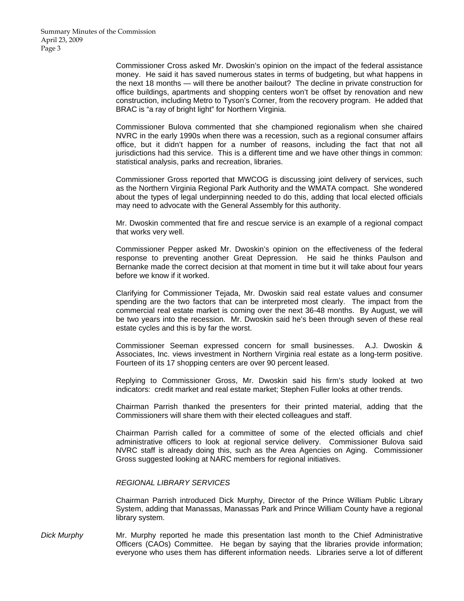Commissioner Cross asked Mr. Dwoskin's opinion on the impact of the federal assistance money. He said it has saved numerous states in terms of budgeting, but what happens in the next 18 months — will there be another bailout? The decline in private construction for office buildings, apartments and shopping centers won't be offset by renovation and new construction, including Metro to Tyson's Corner, from the recovery program. He added that BRAC is "a ray of bright light" for Northern Virginia.

 Commissioner Bulova commented that she championed regionalism when she chaired NVRC in the early 1990s when there was a recession, such as a regional consumer affairs office, but it didn't happen for a number of reasons, including the fact that not all jurisdictions had this service. This is a different time and we have other things in common: statistical analysis, parks and recreation, libraries.

 Commissioner Gross reported that MWCOG is discussing joint delivery of services, such as the Northern Virginia Regional Park Authority and the WMATA compact. She wondered about the types of legal underpinning needed to do this, adding that local elected officials may need to advocate with the General Assembly for this authority.

 Mr. Dwoskin commented that fire and rescue service is an example of a regional compact that works very well.

 Commissioner Pepper asked Mr. Dwoskin's opinion on the effectiveness of the federal response to preventing another Great Depression. He said he thinks Paulson and Bernanke made the correct decision at that moment in time but it will take about four years before we know if it worked.

 Clarifying for Commissioner Tejada, Mr. Dwoskin said real estate values and consumer spending are the two factors that can be interpreted most clearly. The impact from the commercial real estate market is coming over the next 36-48 months. By August, we will be two years into the recession. Mr. Dwoskin said he's been through seven of these real estate cycles and this is by far the worst.

 Commissioner Seeman expressed concern for small businesses. A.J. Dwoskin & Associates, Inc. views investment in Northern Virginia real estate as a long-term positive. Fourteen of its 17 shopping centers are over 90 percent leased.

 Replying to Commissioner Gross, Mr. Dwoskin said his firm's study looked at two indicators: credit market and real estate market; Stephen Fuller looks at other trends.

 Chairman Parrish thanked the presenters for their printed material, adding that the Commissioners will share them with their elected colleagues and staff.

 Chairman Parrish called for a committee of some of the elected officials and chief administrative officers to look at regional service delivery. Commissioner Bulova said NVRC staff is already doing this, such as the Area Agencies on Aging. Commissioner Gross suggested looking at NARC members for regional initiatives.

#### *REGIONAL LIBRARY SERVICES*

 Chairman Parrish introduced Dick Murphy, Director of the Prince William Public Library System, adding that Manassas, Manassas Park and Prince William County have a regional library system.

*Dick Murphy* Mr. Murphy reported he made this presentation last month to the Chief Administrative Officers (CAOs) Committee. He began by saying that the libraries provide information; everyone who uses them has different information needs. Libraries serve a lot of different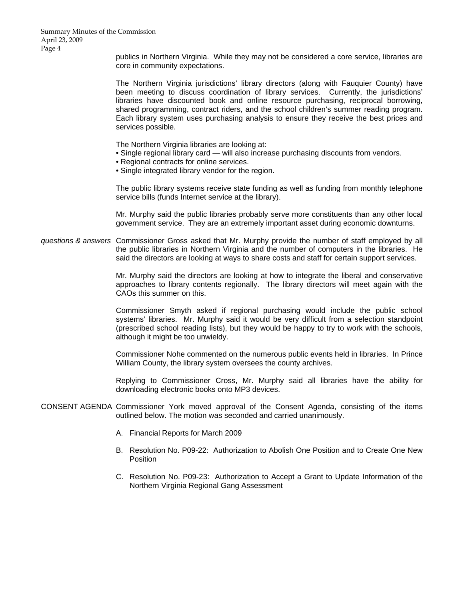Summary Minutes of the Commission April 23, 2009 Page 4

> publics in Northern Virginia. While they may not be considered a core service, libraries are core in community expectations.

> The Northern Virginia jurisdictions' library directors (along with Fauquier County) have been meeting to discuss coordination of library services. Currently, the jurisdictions' libraries have discounted book and online resource purchasing, reciprocal borrowing, shared programming, contract riders, and the school children's summer reading program. Each library system uses purchasing analysis to ensure they receive the best prices and services possible.

The Northern Virginia libraries are looking at:

- Single regional library card will also increase purchasing discounts from vendors.
- Regional contracts for online services.
- Single integrated library vendor for the region.

 The public library systems receive state funding as well as funding from monthly telephone service bills (funds Internet service at the library).

 Mr. Murphy said the public libraries probably serve more constituents than any other local government service. They are an extremely important asset during economic downturns.

*questions & answers* Commissioner Gross asked that Mr. Murphy provide the number of staff employed by all the public libraries in Northern Virginia and the number of computers in the libraries. He said the directors are looking at ways to share costs and staff for certain support services.

> Mr. Murphy said the directors are looking at how to integrate the liberal and conservative approaches to library contents regionally. The library directors will meet again with the CAOs this summer on this.

> Commissioner Smyth asked if regional purchasing would include the public school systems' libraries. Mr. Murphy said it would be very difficult from a selection standpoint (prescribed school reading lists), but they would be happy to try to work with the schools, although it might be too unwieldy.

> Commissioner Nohe commented on the numerous public events held in libraries. In Prince William County, the library system oversees the county archives.

> Replying to Commissioner Cross, Mr. Murphy said all libraries have the ability for downloading electronic books onto MP3 devices.

- CONSENT AGENDA Commissioner York moved approval of the Consent Agenda, consisting of the items outlined below. The motion was seconded and carried unanimously.
	- A. Financial Reports for March 2009
	- B. Resolution No. P09-22: Authorization to Abolish One Position and to Create One New **Position**
	- C. Resolution No. P09-23: Authorization to Accept a Grant to Update Information of the Northern Virginia Regional Gang Assessment